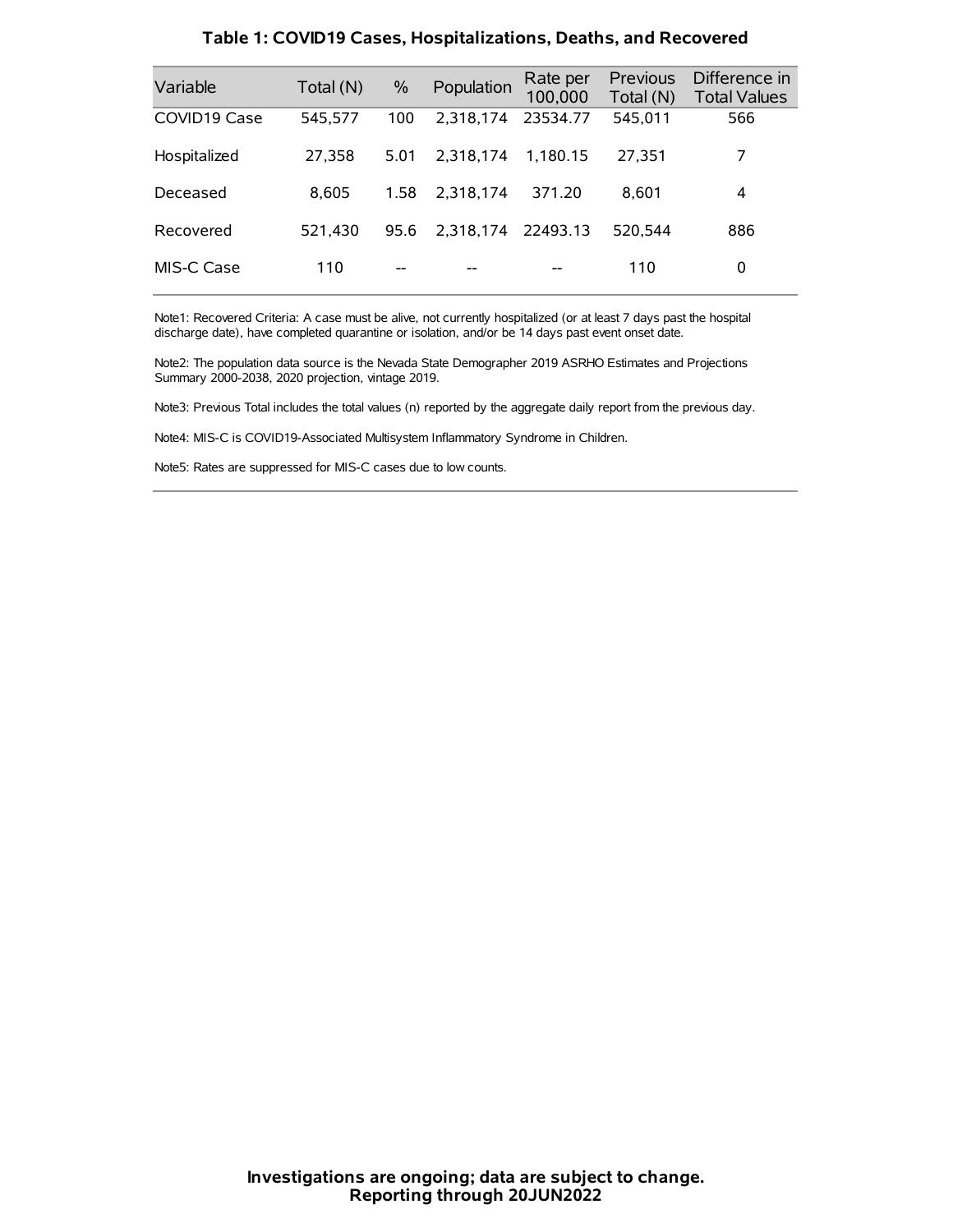| Variable     | Total (N) | $\%$ | Population         | Rate per<br>100,000 | Previous<br>Total (N) | Difference in<br><b>Total Values</b> |
|--------------|-----------|------|--------------------|---------------------|-----------------------|--------------------------------------|
| COVID19 Case | 545,577   | 100  | 2.318.174          | 23534.77            | 545,011               | 566                                  |
| Hospitalized | 27,358    | 5.01 | 2.318.174          | 1.180.15            | 27,351                | 7                                    |
| Deceased     | 8.605     | 1.58 | 2.318.174          | 371.20              | 8.601                 | 4                                    |
| Recovered    | 521,430   | 95.6 | 2,318,174 22493.13 |                     | 520.544               | 886                                  |
| MIS-C Case   | 110       | --   |                    |                     | 110                   | 0                                    |

#### **Table 1: COVID19 Cases, Hospitalizations, Deaths, and Recovered**

Note1: Recovered Criteria: A case must be alive, not currently hospitalized (or at least 7 days past the hospital discharge date), have completed quarantine or isolation, and/or be 14 days past event onset date.

Note2: The population data source is the Nevada State Demographer 2019 ASRHO Estimates and Projections Summary 2000-2038, 2020 projection, vintage 2019.

Note3: Previous Total includes the total values (n) reported by the aggregate daily report from the previous day.

Note4: MIS-C is COVID19-Associated Multisystem Inflammatory Syndrome in Children.

Note5: Rates are suppressed for MIS-C cases due to low counts.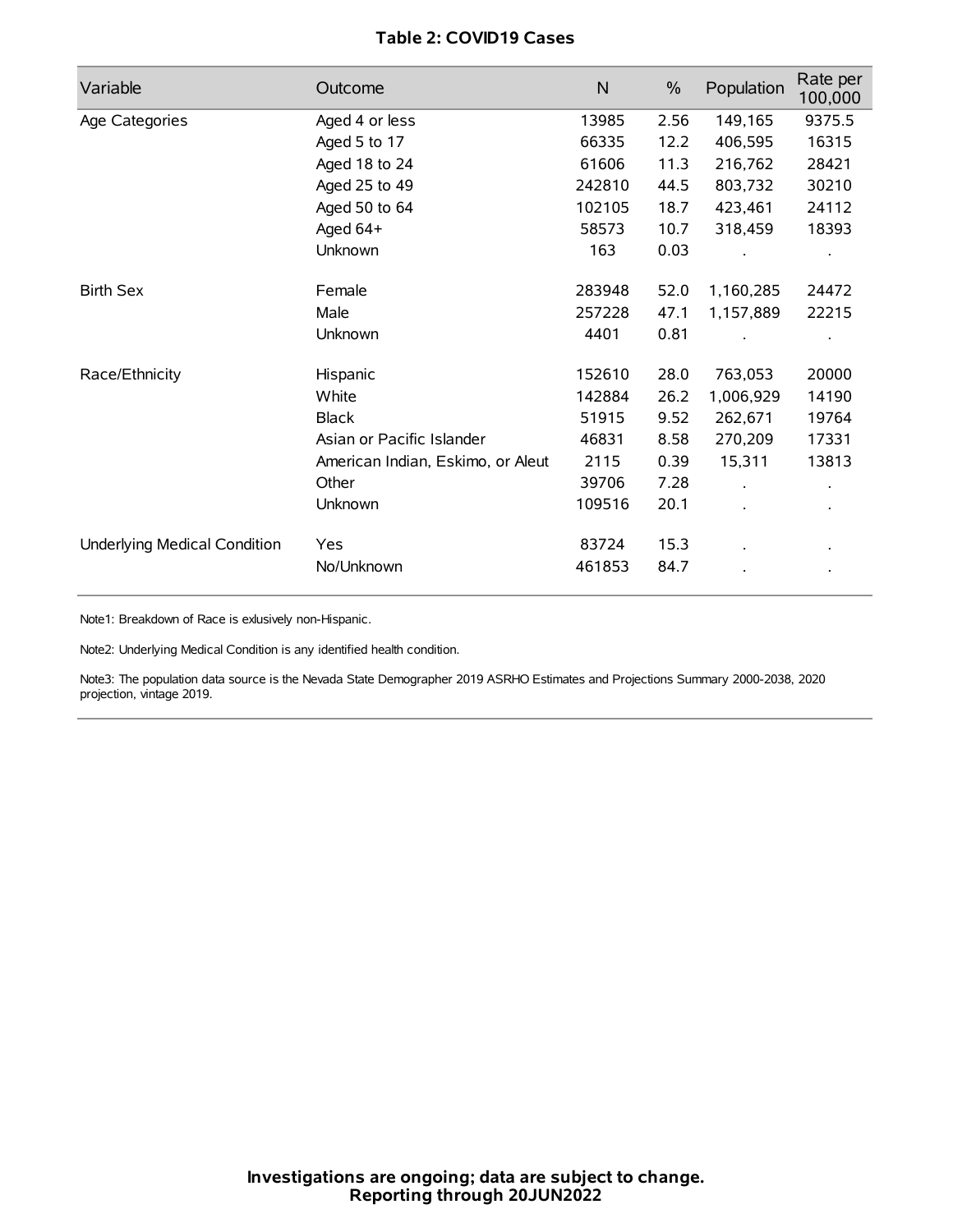# **Table 2: COVID19 Cases**

| Variable                     | Outcome                           | $\mathsf{N}$ | $\%$ | Population | Rate per<br>100,000 |
|------------------------------|-----------------------------------|--------------|------|------------|---------------------|
| Age Categories               | Aged 4 or less                    | 13985        | 2.56 | 149,165    | 9375.5              |
|                              | Aged 5 to 17                      | 66335        | 12.2 | 406,595    | 16315               |
|                              | Aged 18 to 24                     | 61606        | 11.3 | 216,762    | 28421               |
|                              | Aged 25 to 49                     | 242810       | 44.5 | 803,732    | 30210               |
|                              | Aged 50 to 64                     | 102105       | 18.7 | 423,461    | 24112               |
|                              | Aged 64+                          | 58573        | 10.7 | 318,459    | 18393               |
|                              | Unknown                           | 163          | 0.03 |            |                     |
| <b>Birth Sex</b>             | Female                            | 283948       | 52.0 | 1,160,285  | 24472               |
|                              | Male                              | 257228       | 47.1 | 1,157,889  | 22215               |
|                              | Unknown                           | 4401         | 0.81 |            |                     |
| Race/Ethnicity               | Hispanic                          | 152610       | 28.0 | 763,053    | 20000               |
|                              | White                             | 142884       | 26.2 | 1,006,929  | 14190               |
|                              | <b>Black</b>                      | 51915        | 9.52 | 262,671    | 19764               |
|                              | Asian or Pacific Islander         | 46831        | 8.58 | 270,209    | 17331               |
|                              | American Indian, Eskimo, or Aleut | 2115         | 0.39 | 15,311     | 13813               |
|                              | Other                             | 39706        | 7.28 |            |                     |
|                              | Unknown                           | 109516       | 20.1 |            |                     |
| Underlying Medical Condition | Yes                               | 83724        | 15.3 |            |                     |
|                              | No/Unknown                        | 461853       | 84.7 |            |                     |

Note1: Breakdown of Race is exlusively non-Hispanic.

Note2: Underlying Medical Condition is any identified health condition.

Note3: The population data source is the Nevada State Demographer 2019 ASRHO Estimates and Projections Summary 2000-2038, 2020 projection, vintage 2019.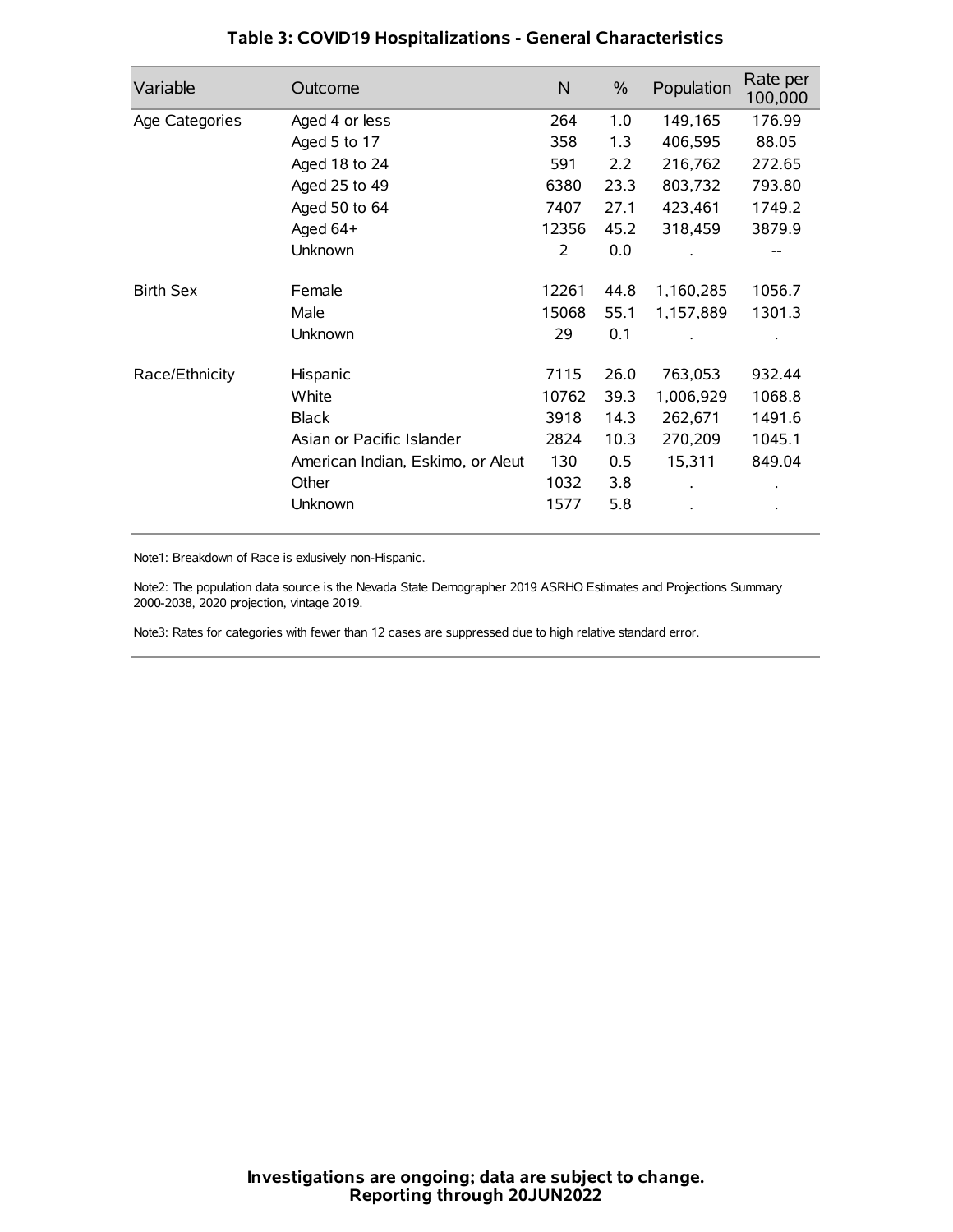| Variable         | Outcome                           | $\mathsf{N}$ | $\%$ | Population | Rate per<br>100,000 |
|------------------|-----------------------------------|--------------|------|------------|---------------------|
| Age Categories   | Aged 4 or less                    | 264          | 1.0  | 149,165    | 176.99              |
|                  | Aged 5 to 17                      | 358          | 1.3  | 406,595    | 88.05               |
|                  | Aged 18 to 24                     | 591          | 2.2  | 216,762    | 272.65              |
|                  | Aged 25 to 49                     | 6380         | 23.3 | 803,732    | 793.80              |
|                  | Aged 50 to 64                     | 7407         | 27.1 | 423,461    | 1749.2              |
|                  | Aged $64+$                        | 12356        | 45.2 | 318,459    | 3879.9              |
|                  | Unknown                           | 2            | 0.0  |            |                     |
| <b>Birth Sex</b> | Female                            | 12261        | 44.8 | 1,160,285  | 1056.7              |
|                  | Male                              | 15068        | 55.1 | 1,157,889  | 1301.3              |
|                  | Unknown                           | 29           | 0.1  |            |                     |
| Race/Ethnicity   | Hispanic                          | 7115         | 26.0 | 763,053    | 932.44              |
|                  | White                             | 10762        | 39.3 | 1,006,929  | 1068.8              |
|                  | <b>Black</b>                      | 3918         | 14.3 | 262,671    | 1491.6              |
|                  | Asian or Pacific Islander         | 2824         | 10.3 | 270,209    | 1045.1              |
|                  | American Indian, Eskimo, or Aleut | 130          | 0.5  | 15,311     | 849.04              |
|                  | Other                             | 1032         | 3.8  |            |                     |
|                  | Unknown                           | 1577         | 5.8  |            |                     |

# **Table 3: COVID19 Hospitalizations - General Characteristics**

Note1: Breakdown of Race is exlusively non-Hispanic.

Note2: The population data source is the Nevada State Demographer 2019 ASRHO Estimates and Projections Summary 2000-2038, 2020 projection, vintage 2019.

Note3: Rates for categories with fewer than 12 cases are suppressed due to high relative standard error.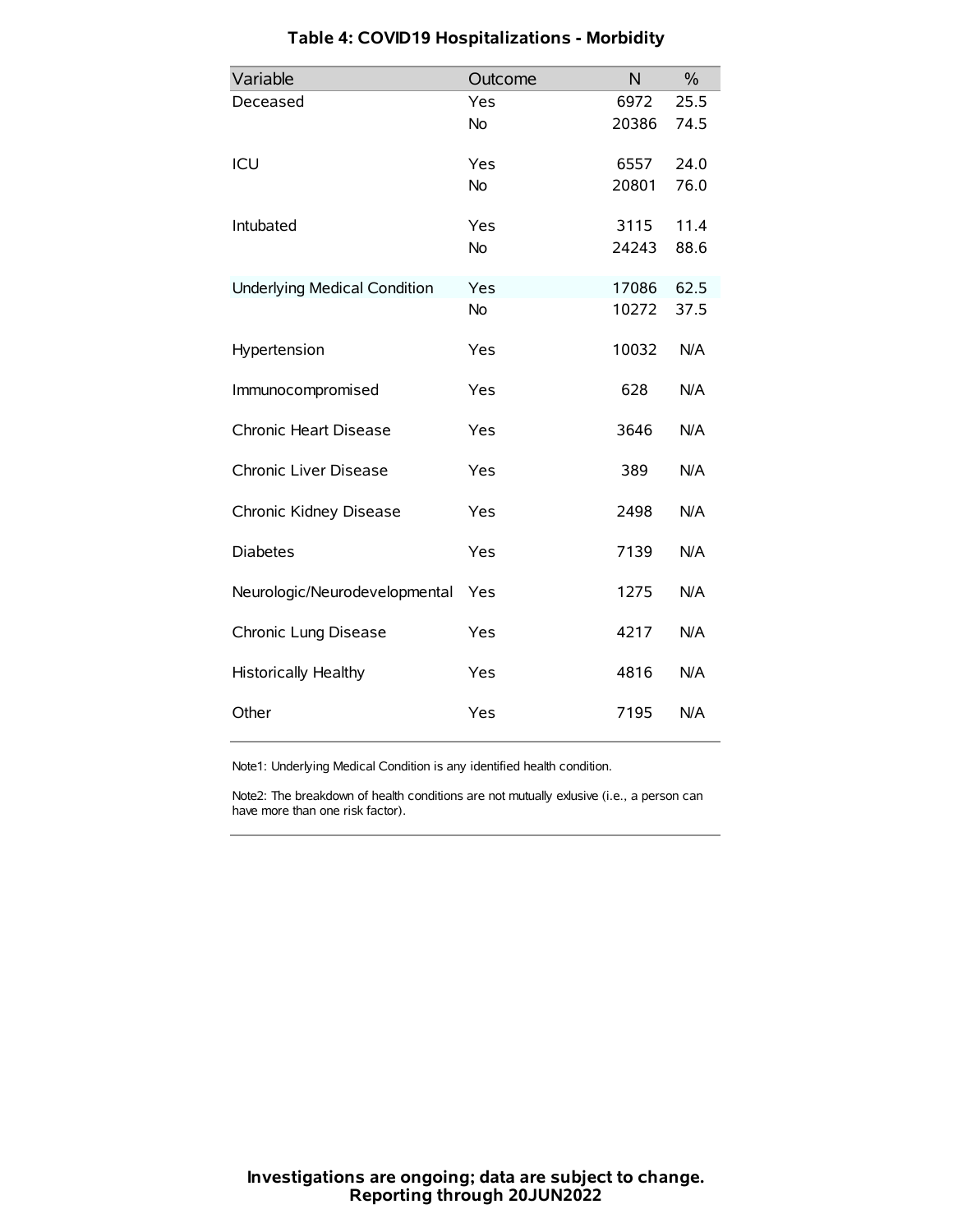| Variable                            | Outcome   | N     | $\frac{0}{0}$ |
|-------------------------------------|-----------|-------|---------------|
| Deceased                            | Yes       | 6972  | 25.5          |
|                                     | <b>No</b> | 20386 | 74.5          |
| ICU                                 | Yes       | 6557  | 24.0          |
|                                     | <b>No</b> | 20801 | 76.0          |
| Intubated                           | Yes       | 3115  | 11.4          |
|                                     | <b>No</b> | 24243 | 88.6          |
| <b>Underlying Medical Condition</b> | Yes       | 17086 | 62.5          |
|                                     | <b>No</b> | 10272 | 37.5          |
| Hypertension                        | Yes       | 10032 | N/A           |
| Immunocompromised                   | Yes       | 628   | N/A           |
| Chronic Heart Disease               | Yes       | 3646  | N/A           |
| Chronic Liver Disease               | Yes       | 389   | N/A           |
| Chronic Kidney Disease              | Yes       | 2498  | N/A           |
| <b>Diabetes</b>                     | Yes       | 7139  | N/A           |
| Neurologic/Neurodevelopmental       | Yes       | 1275  | N/A           |
| Chronic Lung Disease                | Yes       | 4217  | N/A           |
| <b>Historically Healthy</b>         | Yes       | 4816  | N/A           |
| Other                               | Yes       | 7195  | N/A           |

# **Table 4: COVID19 Hospitalizations - Morbidity**

Note1: Underlying Medical Condition is any identified health condition.

Note2: The breakdown of health conditions are not mutually exlusive (i.e., a person can have more than one risk factor).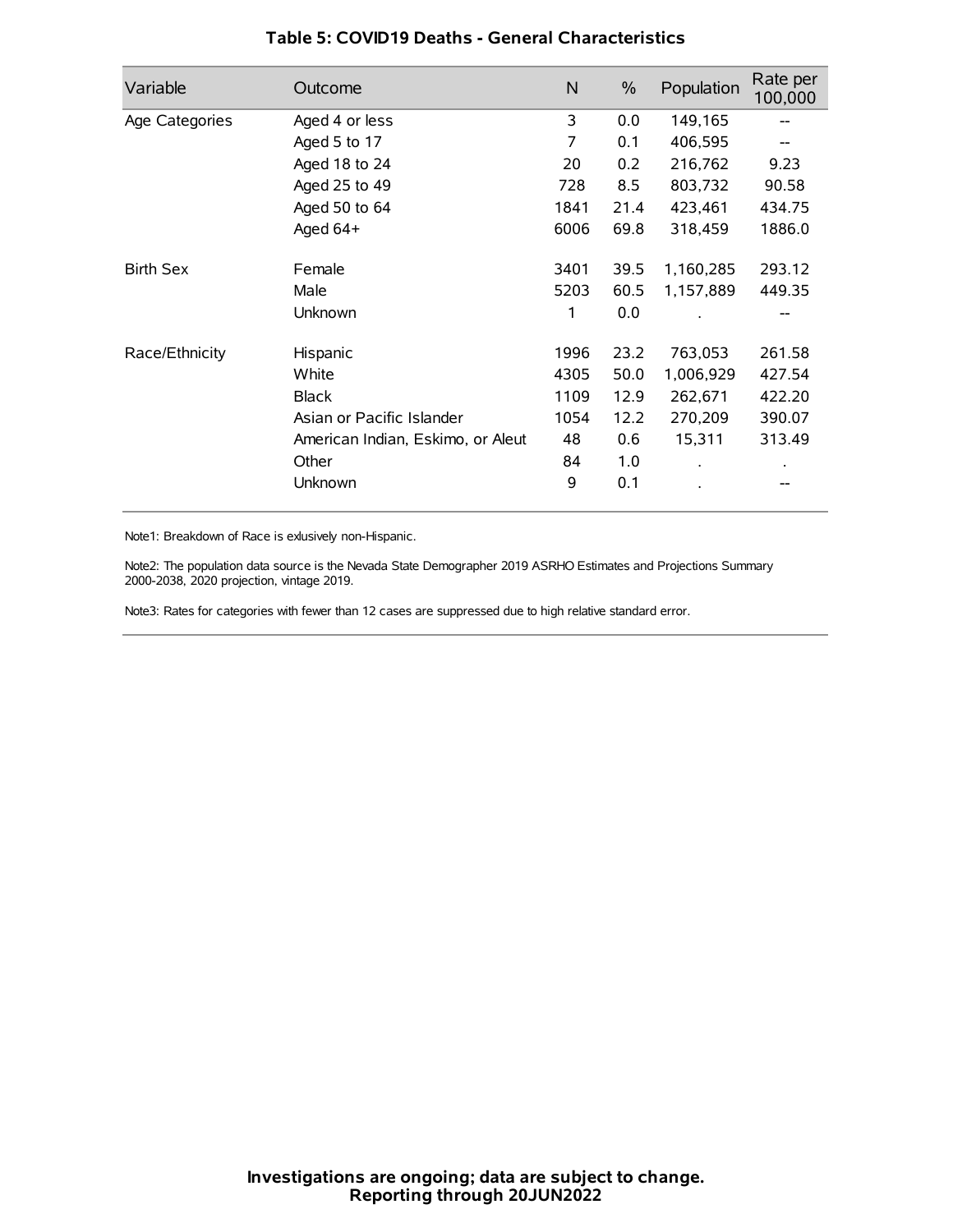| Variable         | Outcome                           | N    | $\frac{0}{0}$ | Population | Rate per<br>100,000 |
|------------------|-----------------------------------|------|---------------|------------|---------------------|
| Age Categories   | Aged 4 or less                    | 3    | 0.0           | 149,165    |                     |
|                  | Aged 5 to 17                      | 7    | 0.1           | 406,595    |                     |
|                  | Aged 18 to 24                     | 20   | 0.2           | 216,762    | 9.23                |
|                  | Aged 25 to 49                     | 728  | 8.5           | 803,732    | 90.58               |
|                  | Aged 50 to 64                     | 1841 | 21.4          | 423,461    | 434.75              |
|                  | Aged $64+$                        | 6006 | 69.8          | 318,459    | 1886.0              |
| <b>Birth Sex</b> | Female                            | 3401 | 39.5          | 1,160,285  | 293.12              |
|                  | Male                              | 5203 | 60.5          | 1,157,889  | 449.35              |
|                  | Unknown                           | 1    | 0.0           |            | --                  |
| Race/Ethnicity   | Hispanic                          | 1996 | 23.2          | 763,053    | 261.58              |
|                  | White                             | 4305 | 50.0          | 1,006,929  | 427.54              |
|                  | <b>Black</b>                      | 1109 | 12.9          | 262,671    | 422.20              |
|                  | Asian or Pacific Islander         | 1054 | 12.2          | 270,209    | 390.07              |
|                  | American Indian, Eskimo, or Aleut | 48   | 0.6           | 15,311     | 313.49              |
|                  | Other                             | 84   | 1.0           |            |                     |
|                  | Unknown                           | 9    | 0.1           |            |                     |

### **Table 5: COVID19 Deaths - General Characteristics**

Note1: Breakdown of Race is exlusively non-Hispanic.

Note2: The population data source is the Nevada State Demographer 2019 ASRHO Estimates and Projections Summary 2000-2038, 2020 projection, vintage 2019.

Note3: Rates for categories with fewer than 12 cases are suppressed due to high relative standard error.